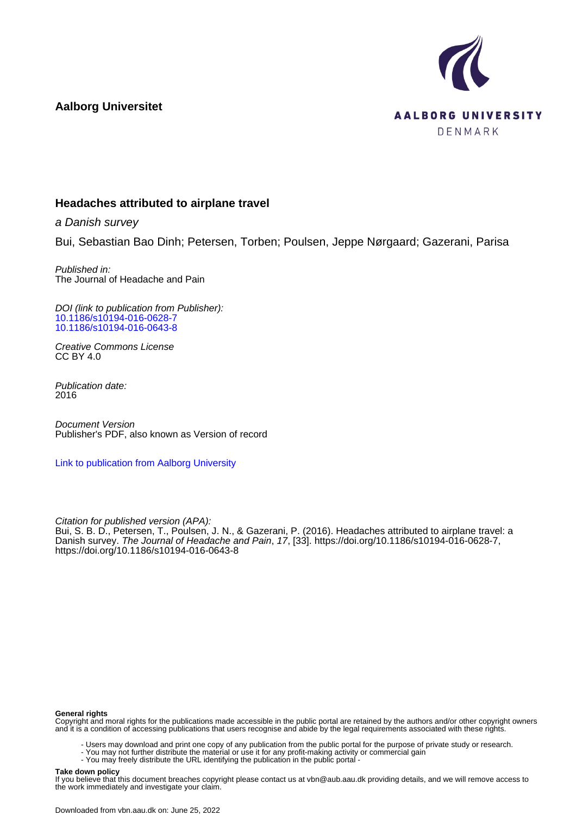**Aalborg Universitet**



## **Headaches attributed to airplane travel**

a Danish survey

Bui, Sebastian Bao Dinh; Petersen, Torben; Poulsen, Jeppe Nørgaard; Gazerani, Parisa

Published in: The Journal of Headache and Pain

DOI (link to publication from Publisher): [10.1186/s10194-016-0628-7](https://doi.org/10.1186/s10194-016-0628-7) [10.1186/s10194-016-0643-8](https://doi.org/10.1186/s10194-016-0643-8)

Creative Commons License CC BY 4.0

Publication date: 2016

Document Version Publisher's PDF, also known as Version of record

[Link to publication from Aalborg University](https://vbn.aau.dk/en/publications/66affe38-56e6-424a-8041-dc68e02b9253)

Citation for published version (APA):

Bui, S. B. D., Petersen, T., Poulsen, J. N., & Gazerani, P. (2016). Headaches attributed to airplane travel: a Danish survey. The Journal of Headache and Pain, 17, [33]. <https://doi.org/10.1186/s10194-016-0628-7>, <https://doi.org/10.1186/s10194-016-0643-8>

#### **General rights**

Copyright and moral rights for the publications made accessible in the public portal are retained by the authors and/or other copyright owners and it is a condition of accessing publications that users recognise and abide by the legal requirements associated with these rights.

- Users may download and print one copy of any publication from the public portal for the purpose of private study or research.
- You may not further distribute the material or use it for any profit-making activity or commercial gain
	- You may freely distribute the URL identifying the publication in the public portal -

#### **Take down policy**

If you believe that this document breaches copyright please contact us at vbn@aub.aau.dk providing details, and we will remove access to the work immediately and investigate your claim.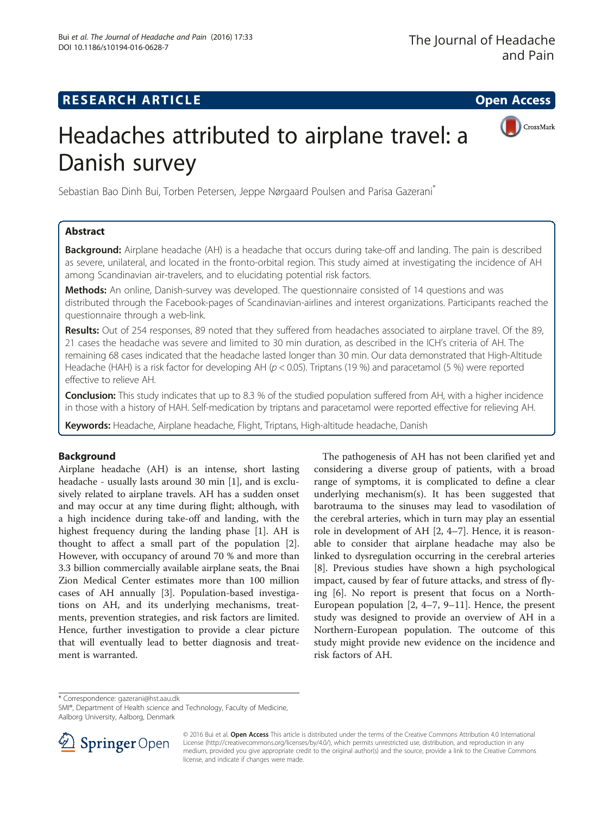## **RESEARCH ARTICLE Example 2014 The Contract of Contract Contract Contract Contract Contract Contract Contract Contract Contract Contract Contract Contract Contract Contract Contract Contract Contract Contract Contract Co**



# Headaches attributed to airplane travel: a Danish survey

Sebastian Bao Dinh Bui, Torben Petersen, Jeppe Nørgaard Poulsen and Parisa Gazerani<sup>\*</sup>

## Abstract

Background: Airplane headache (AH) is a headache that occurs during take-off and landing. The pain is described as severe, unilateral, and located in the fronto-orbital region. This study aimed at investigating the incidence of AH among Scandinavian air-travelers, and to elucidating potential risk factors.

Methods: An online, Danish-survey was developed. The questionnaire consisted of 14 questions and was distributed through the Facebook-pages of Scandinavian-airlines and interest organizations. Participants reached the questionnaire through a web-link.

Results: Out of 254 responses, 89 noted that they suffered from headaches associated to airplane travel. Of the 89, 21 cases the headache was severe and limited to 30 min duration, as described in the ICH's criteria of AH. The remaining 68 cases indicated that the headache lasted longer than 30 min. Our data demonstrated that High-Altitude Headache (HAH) is a risk factor for developing AH ( $p < 0.05$ ). Triptans (19 %) and paracetamol (5 %) were reported effective to relieve AH.

**Conclusion:** This study indicates that up to 8.3 % of the studied population suffered from AH, with a higher incidence in those with a history of HAH. Self-medication by triptans and paracetamol were reported effective for relieving AH.

Keywords: Headache, Airplane headache, Flight, Triptans, High-altitude headache, Danish

## Background

Airplane headache (AH) is an intense, short lasting headache - usually lasts around 30 min [[1](#page-4-0)], and is exclusively related to airplane travels. AH has a sudden onset and may occur at any time during flight; although, with a high incidence during take-off and landing, with the highest frequency during the landing phase [\[1](#page-4-0)]. AH is thought to affect a small part of the population [\[2](#page-4-0)]. However, with occupancy of around 70 % and more than 3.3 billion commercially available airplane seats, the Bnai Zion Medical Center estimates more than 100 million cases of AH annually [\[3](#page-4-0)]. Population-based investigations on AH, and its underlying mechanisms, treatments, prevention strategies, and risk factors are limited. Hence, further investigation to provide a clear picture that will eventually lead to better diagnosis and treatment is warranted.

The pathogenesis of AH has not been clarified yet and considering a diverse group of patients, with a broad range of symptoms, it is complicated to define a clear underlying mechanism(s). It has been suggested that barotrauma to the sinuses may lead to vasodilation of the cerebral arteries, which in turn may play an essential role in development of AH [\[2](#page-4-0), [4](#page-4-0)–[7](#page-4-0)]. Hence, it is reasonable to consider that airplane headache may also be linked to dysregulation occurring in the cerebral arteries [[8\]](#page-4-0). Previous studies have shown a high psychological impact, caused by fear of future attacks, and stress of flying [[6\]](#page-4-0). No report is present that focus on a North-European population [\[2](#page-4-0), [4](#page-4-0)–[7, 9](#page-4-0)–[11](#page-4-0)]. Hence, the present study was designed to provide an overview of AH in a Northern-European population. The outcome of this study might provide new evidence on the incidence and risk factors of AH.

\* Correspondence: [gazerani@hst.aau.dk](mailto:gazerani@hst.aau.dk)

SMI®, Department of Health science and Technology, Faculty of Medicine, Aalborg University, Aalborg, Denmark



<sup>© 2016</sup> Bui et al. Open Access This article is distributed under the terms of the Creative Commons Attribution 4.0 International License [\(http://creativecommons.org/licenses/by/4.0/](http://creativecommons.org/licenses/by/4.0/)), which permits unrestricted use, distribution, and reproduction in any medium, provided you give appropriate credit to the original author(s) and the source, provide a link to the Creative Commons license, and indicate if changes were made.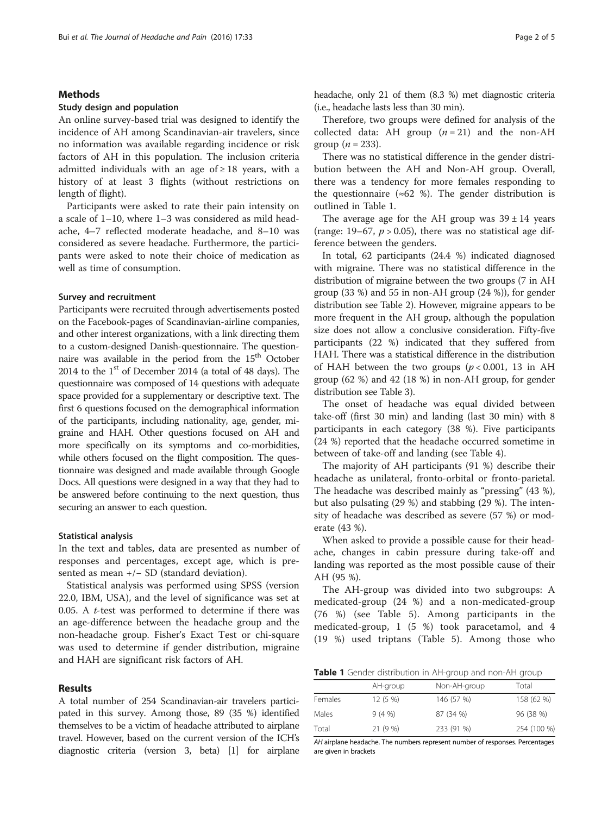#### Methods

#### Study design and population

An online survey-based trial was designed to identify the incidence of AH among Scandinavian-air travelers, since no information was available regarding incidence or risk factors of AH in this population. The inclusion criteria admitted individuals with an age of  $\geq 18$  years, with a history of at least 3 flights (without restrictions on length of flight).

Participants were asked to rate their pain intensity on a scale of 1–10, where 1–3 was considered as mild headache, 4–7 reflected moderate headache, and 8–10 was considered as severe headache. Furthermore, the participants were asked to note their choice of medication as well as time of consumption.

#### Survey and recruitment

Participants were recruited through advertisements posted on the Facebook-pages of Scandinavian-airline companies, and other interest organizations, with a link directing them to a custom-designed Danish-questionnaire. The questionnaire was available in the period from the  $15<sup>th</sup>$  October 2014 to the  $1<sup>st</sup>$  of December 2014 (a total of 48 days). The questionnaire was composed of 14 questions with adequate space provided for a supplementary or descriptive text. The first 6 questions focused on the demographical information of the participants, including nationality, age, gender, migraine and HAH. Other questions focused on AH and more specifically on its symptoms and co-morbidities, while others focused on the flight composition. The questionnaire was designed and made available through Google Docs. All questions were designed in a way that they had to be answered before continuing to the next question, thus securing an answer to each question.

#### Statistical analysis

In the text and tables, data are presented as number of responses and percentages, except age, which is presented as mean +/− SD (standard deviation).

Statistical analysis was performed using SPSS (version 22.0, IBM, USA), and the level of significance was set at 0.05. A  $t$ -test was performed to determine if there was an age-difference between the headache group and the non-headache group. Fisher's Exact Test or chi-square was used to determine if gender distribution, migraine and HAH are significant risk factors of AH.

#### Results

A total number of 254 Scandinavian-air travelers participated in this survey. Among those, 89 (35 %) identified themselves to be a victim of headache attributed to airplane travel. However, based on the current version of the ICH's diagnostic criteria (version 3, beta) [\[1\]](#page-4-0) for airplane headache, only 21 of them (8.3 %) met diagnostic criteria (i.e., headache lasts less than 30 min).

Therefore, two groups were defined for analysis of the collected data: AH group  $(n = 21)$  and the non-AH group ( $n = 233$ ).

There was no statistical difference in the gender distribution between the AH and Non-AH group. Overall, there was a tendency for more females responding to the questionnaire ( $\approx 62$  %). The gender distribution is outlined in Table 1.

The average age for the AH group was  $39 \pm 14$  years (range: 19–67,  $p > 0.05$ ), there was no statistical age difference between the genders.

In total, 62 participants (24.4 %) indicated diagnosed with migraine. There was no statistical difference in the distribution of migraine between the two groups (7 in AH group (33 %) and 55 in non-AH group (24 %)), for gender distribution see Table [2](#page-3-0)). However, migraine appears to be more frequent in the AH group, although the population size does not allow a conclusive consideration. Fifty-five participants (22 %) indicated that they suffered from HAH. There was a statistical difference in the distribution of HAH between the two groups  $(p < 0.001, 13$  in AH group (62 %) and 42 (18 %) in non-AH group, for gender distribution see Table [3](#page-3-0)).

The onset of headache was equal divided between take-off (first 30 min) and landing (last 30 min) with 8 participants in each category (38 %). Five participants (24 %) reported that the headache occurred sometime in between of take-off and landing (see Table [4\)](#page-3-0).

The majority of AH participants (91 %) describe their headache as unilateral, fronto-orbital or fronto-parietal. The headache was described mainly as "pressing" (43 %), but also pulsating (29 %) and stabbing (29 %). The intensity of headache was described as severe (57 %) or moderate (43 %).

When asked to provide a possible cause for their headache, changes in cabin pressure during take-off and landing was reported as the most possible cause of their AH (95 %).

The AH-group was divided into two subgroups: A medicated-group (24 %) and a non-medicated-group (76 %) (see Table [5\)](#page-3-0). Among participants in the medicated-group, 1 (5 %) took paracetamol, and 4 (19 %) used triptans (Table [5\)](#page-3-0). Among those who

Table 1 Gender distribution in AH-group and non-AH group

|         | AH-group  | Non-AH-group | Total       |
|---------|-----------|--------------|-------------|
| Females | $12(5\%)$ | 146 (57 %)   | 158 (62 %)  |
| Males   | 9(4%      | 87 (34 %)    | 96 (38 %)   |
| Total   | 21 (9 %)  | 233 (91 %)   | 254 (100 %) |

AH airplane headache. The numbers represent number of responses. Percentages are given in brackets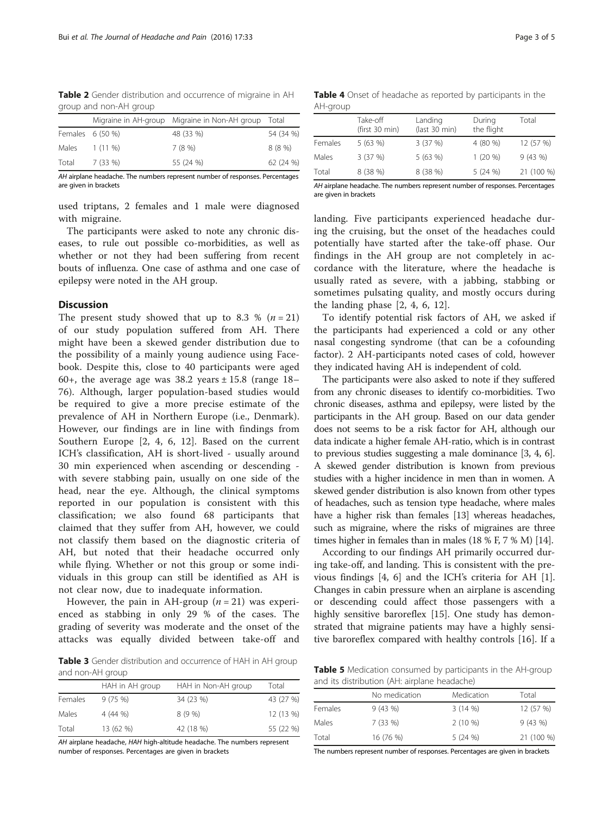<span id="page-3-0"></span>Table 2 Gender distribution and occurrence of migraine in AH group and non-AH group

|                  |          | Migraine in AH-group Migraine in Non-AH group Total |           |
|------------------|----------|-----------------------------------------------------|-----------|
| Females 6 (50 %) |          | 48 (33 %)                                           | 54 (34 %) |
| Males 1 (11 %)   |          | 7(8%)                                               | 8 (8 %)   |
| Total            | 7 (33 %) | 55 (24 %)                                           | 62 (24 %) |

AH airplane headache. The numbers represent number of responses. Percentages are given in brackets

used triptans, 2 females and 1 male were diagnosed with migraine.

The participants were asked to note any chronic diseases, to rule out possible co-morbidities, as well as whether or not they had been suffering from recent bouts of influenza. One case of asthma and one case of epilepsy were noted in the AH group.

#### **Discussion**

The present study showed that up to 8.3 %  $(n=21)$ of our study population suffered from AH. There might have been a skewed gender distribution due to the possibility of a mainly young audience using Facebook. Despite this, close to 40 participants were aged 60+, the average age was  $38.2$  years  $\pm 15.8$  (range  $18-$ 76). Although, larger population-based studies would be required to give a more precise estimate of the prevalence of AH in Northern Europe (i.e., Denmark). However, our findings are in line with findings from Southern Europe [\[2](#page-4-0), [4, 6](#page-4-0), [12](#page-4-0)]. Based on the current ICH's classification, AH is short-lived - usually around 30 min experienced when ascending or descending with severe stabbing pain, usually on one side of the head, near the eye. Although, the clinical symptoms reported in our population is consistent with this classification; we also found 68 participants that claimed that they suffer from AH, however, we could not classify them based on the diagnostic criteria of AH, but noted that their headache occurred only while flying. Whether or not this group or some individuals in this group can still be identified as AH is not clear now, due to inadequate information.

However, the pain in AH-group  $(n = 21)$  was experienced as stabbing in only 29 % of the cases. The grading of severity was moderate and the onset of the attacks was equally divided between take-off and

Table 3 Gender distribution and occurrence of HAH in AH group and non-AH group

| HAH in AH group | HAH in Non-AH group | Total     |
|-----------------|---------------------|-----------|
| 9(75%)          | 34 (23 %)           | 43 (27 %) |
| 4(44%           | 8(9%)               | 12 (13 %) |
| 13 (62 %)       | 42 (18 %)           | 55 (22 %) |
|                 |                     |           |

AH airplane headache, HAH high-altitude headache. The numbers represent number of responses. Percentages are given in brackets

Table 4 Onset of headache as reported by participants in the AH-group

|         | Take-off<br>(first 30 min) | Landing<br>(last 30 min) | During<br>the flight | Total      |
|---------|----------------------------|--------------------------|----------------------|------------|
| Females | 5 (63 %)                   | 3(37%)                   | 4 (80 %)             | 12 (57 %)  |
| Males   | 3(37%)                     | 5(63%)                   | $1(20\%)$            | 9(43%)     |
| Total   | 8 (38 %)                   | 8 (38 %)                 | 5(24%)               | 21 (100 %) |

AH airplane headache. The numbers represent number of responses. Percentages are given in brackets

landing. Five participants experienced headache during the cruising, but the onset of the headaches could potentially have started after the take-off phase. Our findings in the AH group are not completely in accordance with the literature, where the headache is usually rated as severe, with a jabbing, stabbing or sometimes pulsating quality, and mostly occurs during the landing phase [\[2](#page-4-0), [4, 6, 12\]](#page-4-0).

To identify potential risk factors of AH, we asked if the participants had experienced a cold or any other nasal congesting syndrome (that can be a cofounding factor). 2 AH-participants noted cases of cold, however they indicated having AH is independent of cold.

The participants were also asked to note if they suffered from any chronic diseases to identify co-morbidities. Two chronic diseases, asthma and epilepsy, were listed by the participants in the AH group. Based on our data gender does not seems to be a risk factor for AH, although our data indicate a higher female AH-ratio, which is in contrast to previous studies suggesting a male dominance [\[3](#page-4-0), [4](#page-4-0), [6](#page-4-0)]. A skewed gender distribution is known from previous studies with a higher incidence in men than in women. A skewed gender distribution is also known from other types of headaches, such as tension type headache, where males have a higher risk than females [[13](#page-4-0)] whereas headaches, such as migraine, where the risks of migraines are three times higher in females than in males (18 % F, 7 % M) [\[14\]](#page-4-0).

According to our findings AH primarily occurred during take-off, and landing. This is consistent with the previous findings [\[4](#page-4-0), [6](#page-4-0)] and the ICH's criteria for AH [\[1](#page-4-0)]. Changes in cabin pressure when an airplane is ascending or descending could affect those passengers with a highly sensitive baroreflex [\[15](#page-4-0)]. One study has demonstrated that migraine patients may have a highly sensitive baroreflex compared with healthy controls [[16\]](#page-5-0). If a

Table 5 Medication consumed by participants in the AH-group and its distribution (AH: airplane headache)

|         | No medication | Medication | Total      |
|---------|---------------|------------|------------|
| Females | 9(43%)        | 3(14%)     | 12 (57 %)  |
| Males   | 7(33%)        | $2(10\%)$  | 9(43%)     |
| Total   | 16 (76 %)     | 5(24%)     | 21 (100 %) |

The numbers represent number of responses. Percentages are given in brackets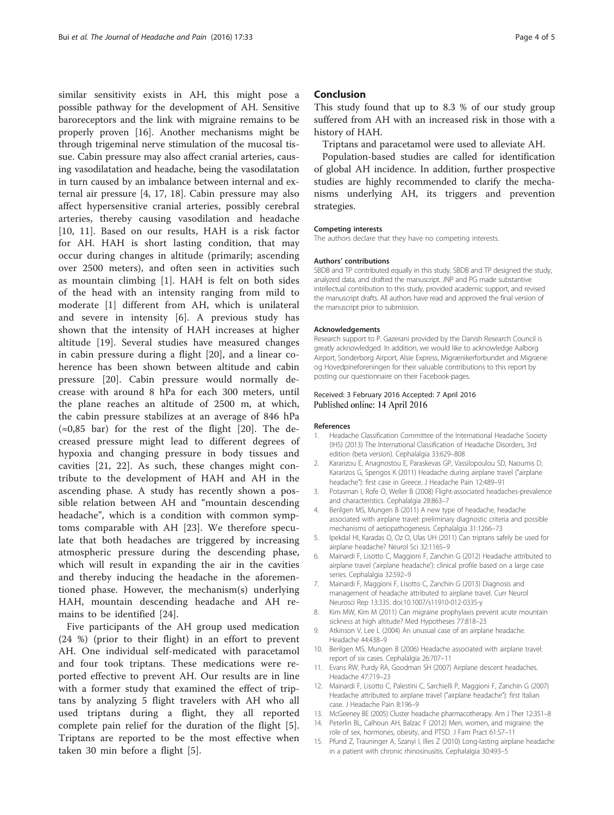<span id="page-4-0"></span>similar sensitivity exists in AH, this might pose a possible pathway for the development of AH. Sensitive baroreceptors and the link with migraine remains to be properly proven [\[16\]](#page-5-0). Another mechanisms might be through trigeminal nerve stimulation of the mucosal tissue. Cabin pressure may also affect cranial arteries, causing vasodilatation and headache, being the vasodilatation in turn caused by an imbalance between internal and external air pressure [4, [17, 18](#page-5-0)]. Cabin pressure may also affect hypersensitive cranial arteries, possibly cerebral arteries, thereby causing vasodilation and headache [10, 11]. Based on our results, HAH is a risk factor for AH. HAH is short lasting condition, that may occur during changes in altitude (primarily; ascending over 2500 meters), and often seen in activities such as mountain climbing [1]. HAH is felt on both sides of the head with an intensity ranging from mild to moderate [1] different from AH, which is unilateral and severe in intensity [6]. A previous study has shown that the intensity of HAH increases at higher altitude [[19\]](#page-5-0). Several studies have measured changes in cabin pressure during a flight [[20\]](#page-5-0), and a linear coherence has been shown between altitude and cabin pressure [\[20](#page-5-0)]. Cabin pressure would normally decrease with around 8 hPa for each 300 meters, until the plane reaches an altitude of 2500 m, at which, the cabin pressure stabilizes at an average of 846 hPa  $(\approx 0.85$  bar) for the rest of the flight [\[20](#page-5-0)]. The decreased pressure might lead to different degrees of hypoxia and changing pressure in body tissues and cavities [[21, 22](#page-5-0)]. As such, these changes might contribute to the development of HAH and AH in the ascending phase. A study has recently shown a possible relation between AH and "mountain descending headache", which is a condition with common symptoms comparable with AH [[23](#page-5-0)]. We therefore speculate that both headaches are triggered by increasing atmospheric pressure during the descending phase, which will result in expanding the air in the cavities and thereby inducing the headache in the aforementioned phase. However, the mechanism(s) underlying HAH, mountain descending headache and AH remains to be identified [[24\]](#page-5-0).

Five participants of the AH group used medication (24 %) (prior to their flight) in an effort to prevent AH. One individual self-medicated with paracetamol and four took triptans. These medications were reported effective to prevent AH. Our results are in line with a former study that examined the effect of triptans by analyzing 5 flight travelers with AH who all used triptans during a flight, they all reported complete pain relief for the duration of the flight [5]. Triptans are reported to be the most effective when taken 30 min before a flight [5].

#### Conclusion

This study found that up to 8.3 % of our study group suffered from AH with an increased risk in those with a history of HAH.

Triptans and paracetamol were used to alleviate AH.

Population-based studies are called for identification of global AH incidence. In addition, further prospective studies are highly recommended to clarify the mechanisms underlying AH, its triggers and prevention strategies.

#### Competing interests

The authors declare that they have no competing interests.

#### Authors' contributions

SBDB and TP contributed equally in this study. SBDB and TP designed the study, analyzed data, and drafted the manuscript. JNP and PG made substantive intellectual contribution to this study, provided academic support, and revised the manuscript drafts. All authors have read and approved the final version of the manuscript prior to submission.

#### Acknowledgements

Research support to P. Gazerani provided by the Danish Research Council is greatly acknowledged. In addition, we would like to acknowledge Aalborg Airport, Sonderborg Airport, Alsie Express, Migrænikerforbundet and Migræne og Hovedpineforeningen for their valuable contributions to this report by posting our questionnaire on their Facebook-pages.

#### Received: 3 February 2016 Accepted: 7 April 2016 Published online: 14 April 2016

#### References

- 1. Headache Classification Committee of the International Headache Society (IHS) (2013) The International Classification of Headache Disorders, 3rd edition (beta version). Cephalalgia 33:629–808
- 2. Kararizou E, Anagnostou E, Paraskevas GP, Vassilopoulou SD, Naoumis D, Kararizos G, Spengos K (2011) Headache during airplane travel ("airplane headache"): first case in Greece. J Headache Pain 12:489–91
- 3. Potasman I, Rofe O, Weller B (2008) Flight-associated headaches-prevalence and characteristics. Cephalalgia 28:863–7
- 4. Berilgen MS, Mungen B (2011) A new type of headache, headache associated with airplane travel: preliminary diagnostic criteria and possible mechanisms of aetiopathogenesis. Cephalalgia 31:1266–73
- 5. Ipekdal HI, Karadas O, Oz O, Ulas UH (2011) Can triptans safely be used for airplane headache? Neurol Sci 32:1165–9
- 6. Mainardi F, Lisotto C, Maggioni F, Zanchin G (2012) Headache attributed to airplane travel ('airplane headache'): clinical profile based on a large case series. Cephalalgia 32:592–9
- 7. Mainardi F, Maggioni F, Lisotto C, Zanchin G (2013) Diagnosis and management of headache attributed to airplane travel. Curr Neurol Neurosci Rep 13:335. doi[:10.1007/s11910-012-0335-y](http://dx.doi.org/10.1007/s11910-012-0335-y)
- 8. Kim MW, Kim M (2011) Can migraine prophylaxis prevent acute mountain sickness at high altitude? Med Hypotheses 77:818–23
- 9. Atkinson V, Lee L (2004) An unusual case of an airplane headache. Headache 44:438–9
- 10. Berilgen MS, Mungen B (2006) Headache associated with airplane travel: report of six cases. Cephalalgia 26:707–11
- 11. Evans RW, Purdy RA, Goodman SH (2007) Airplane descent headaches. Headache 47:719–23
- 12. Mainardi F, Lisotto C, Palestini C, Sarchielli P, Maggioni F, Zanchin G (2007) Headache attributed to airplane travel ("airplane headache"): first Italian case. J Headache Pain 8:196–9
- 13. McGeeney BE (2005) Cluster headache pharmacotherapy. Am J Ther 12:351–8
- 14. Peterlin BL, Calhoun AH, Balzac F (2012) Men, women, and migraine: the role of sex, hormones, obesity, and PTSD. J Fam Pract 61:S7–11
- 15. Pfund Z, Trauninger A, Szanyi I, Illes Z (2010) Long-lasting airplane headache in a patient with chronic rhinosinusitis. Cephalalgia 30:493–5